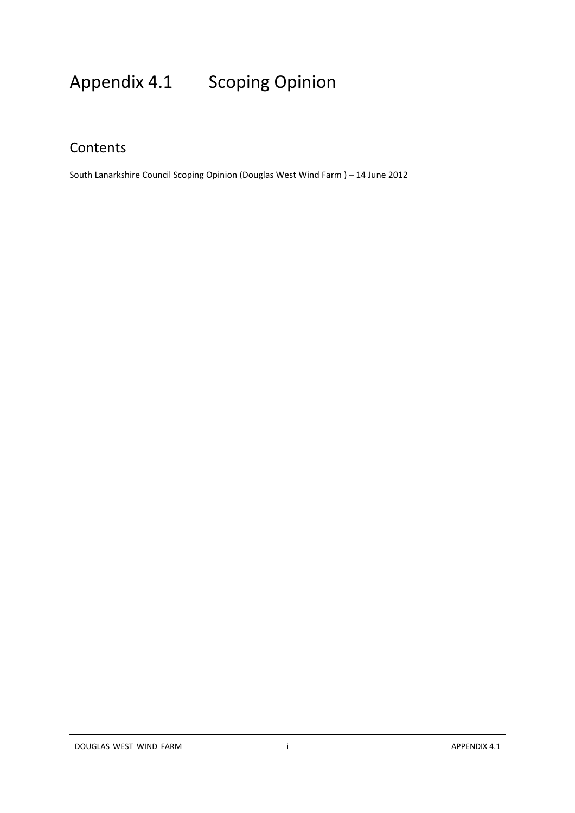# Appendix 4.1 Scoping Opinion

# **Contents**

South Lanarkshire Council Scoping Opinion (Douglas West Wind Farm ) – 14 June 2012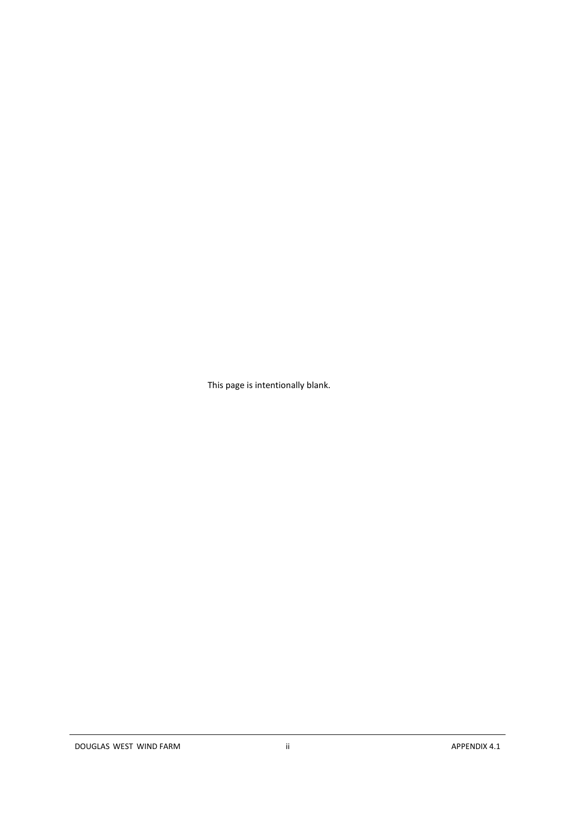This page is intentionally blank.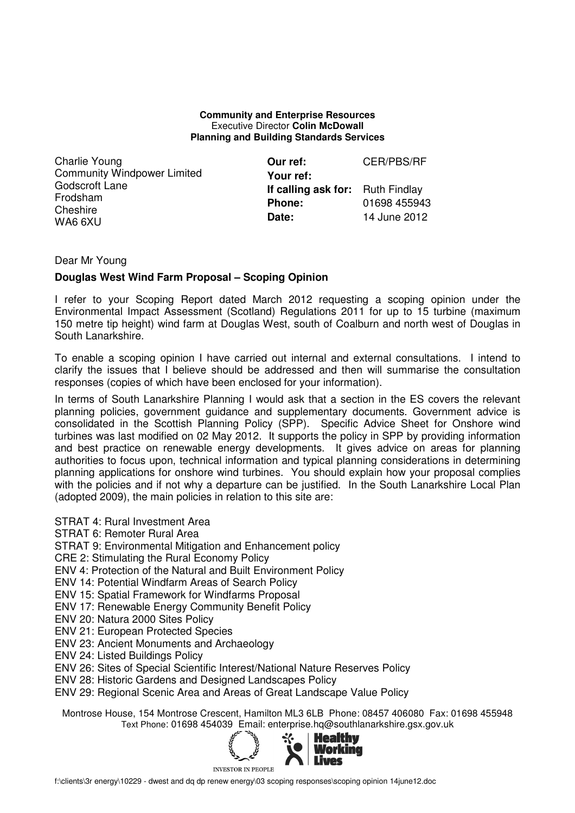#### **Community and Enterprise Resources**  Executive Director **Colin McDowall Planning and Building Standards Services**

Charlie Young Community Windpower Limited Godscroft Lane Frodsham Cheshire WA6 6XU

**Our ref:** CER/PBS/RF **Your ref: If calling ask for:** Ruth Findlay **Phone:** 01698 455943 **Date:** 14 June 2012

# Dear Mr Young

# **Douglas West Wind Farm Proposal – Scoping Opinion**

I refer to your Scoping Report dated March 2012 requesting a scoping opinion under the Environmental Impact Assessment (Scotland) Regulations 2011 for up to 15 turbine (maximum 150 metre tip height) wind farm at Douglas West, south of Coalburn and north west of Douglas in South Lanarkshire.

To enable a scoping opinion I have carried out internal and external consultations. I intend to clarify the issues that I believe should be addressed and then will summarise the consultation responses (copies of which have been enclosed for your information).

In terms of South Lanarkshire Planning I would ask that a section in the ES covers the relevant planning policies, government guidance and supplementary documents. Government advice is consolidated in the Scottish Planning Policy (SPP). Specific Advice Sheet for Onshore wind turbines was last modified on 02 May 2012. It supports the policy in SPP by providing information and best practice on renewable energy developments. It gives advice on areas for planning authorities to focus upon, technical information and typical planning considerations in determining planning applications for onshore wind turbines. You should explain how your proposal complies with the policies and if not why a departure can be justified. In the South Lanarkshire Local Plan (adopted 2009), the main policies in relation to this site are:

STRAT 4: Rural Investment Area

- STRAT 6: Remoter Rural Area
- STRAT 9: Environmental Mitigation and Enhancement policy
- CRE 2: Stimulating the Rural Economy Policy
- ENV 4: Protection of the Natural and Built Environment Policy
- ENV 14: Potential Windfarm Areas of Search Policy
- ENV 15: Spatial Framework for Windfarms Proposal
- ENV 17: Renewable Energy Community Benefit Policy
- ENV 20: Natura 2000 Sites Policy
- ENV 21: European Protected Species
- ENV 23: Ancient Monuments and Archaeology
- ENV 24: Listed Buildings Policy
- ENV 26: Sites of Special Scientific Interest/National Nature Reserves Policy

ENV 28: Historic Gardens and Designed Landscapes Policy

ENV 29: Regional Scenic Area and Areas of Great Landscape Value Policy

Montrose House, 154 Montrose Crescent, Hamilton ML3 6LB Phone: 08457 406080 Fax: 01698 455948 Text Phone: 01698 454039 Email: enterprise.hq@southlanarkshire.gsx.gov.uk



f:\clients\3r energy\10229 - dwest and dq dp renew energy\03 scoping responses\scoping opinion 14june12.doc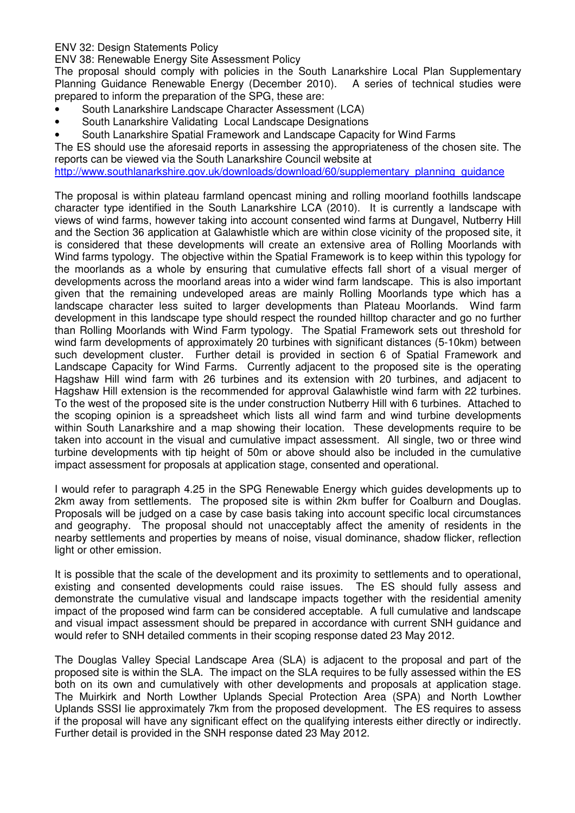# ENV 32: Design Statements Policy

ENV 38: Renewable Energy Site Assessment Policy

The proposal should comply with policies in the South Lanarkshire Local Plan Supplementary Planning Guidance Renewable Energy (December 2010). A series of technical studies were prepared to inform the preparation of the SPG, these are:

- South Lanarkshire Landscape Character Assessment (LCA)
- South Lanarkshire Validating Local Landscape Designations
- South Lanarkshire Spatial Framework and Landscape Capacity for Wind Farms

The ES should use the aforesaid reports in assessing the appropriateness of the chosen site. The reports can be viewed via the South Lanarkshire Council website at

http://www.southlanarkshire.gov.uk/downloads/download/60/supplementary\_planning\_guidance

The proposal is within plateau farmland opencast mining and rolling moorland foothills landscape character type identified in the South Lanarkshire LCA (2010). It is currently a landscape with views of wind farms, however taking into account consented wind farms at Dungavel, Nutberry Hill and the Section 36 application at Galawhistle which are within close vicinity of the proposed site, it is considered that these developments will create an extensive area of Rolling Moorlands with Wind farms typology. The objective within the Spatial Framework is to keep within this typology for the moorlands as a whole by ensuring that cumulative effects fall short of a visual merger of developments across the moorland areas into a wider wind farm landscape. This is also important given that the remaining undeveloped areas are mainly Rolling Moorlands type which has a landscape character less suited to larger developments than Plateau Moorlands. Wind farm development in this landscape type should respect the rounded hilltop character and go no further than Rolling Moorlands with Wind Farm typology. The Spatial Framework sets out threshold for wind farm developments of approximately 20 turbines with significant distances (5-10km) between such development cluster. Further detail is provided in section 6 of Spatial Framework and Landscape Capacity for Wind Farms. Currently adjacent to the proposed site is the operating Hagshaw Hill wind farm with 26 turbines and its extension with 20 turbines, and adjacent to Hagshaw Hill extension is the recommended for approval Galawhistle wind farm with 22 turbines. To the west of the proposed site is the under construction Nutberry Hill with 6 turbines. Attached to the scoping opinion is a spreadsheet which lists all wind farm and wind turbine developments within South Lanarkshire and a map showing their location. These developments require to be taken into account in the visual and cumulative impact assessment. All single, two or three wind turbine developments with tip height of 50m or above should also be included in the cumulative impact assessment for proposals at application stage, consented and operational.

I would refer to paragraph 4.25 in the SPG Renewable Energy which guides developments up to 2km away from settlements. The proposed site is within 2km buffer for Coalburn and Douglas. Proposals will be judged on a case by case basis taking into account specific local circumstances and geography. The proposal should not unacceptably affect the amenity of residents in the nearby settlements and properties by means of noise, visual dominance, shadow flicker, reflection light or other emission.

It is possible that the scale of the development and its proximity to settlements and to operational, existing and consented developments could raise issues. The ES should fully assess and existing and consented developments could raise issues. demonstrate the cumulative visual and landscape impacts together with the residential amenity impact of the proposed wind farm can be considered acceptable. A full cumulative and landscape and visual impact assessment should be prepared in accordance with current SNH guidance and would refer to SNH detailed comments in their scoping response dated 23 May 2012.

The Douglas Valley Special Landscape Area (SLA) is adjacent to the proposal and part of the proposed site is within the SLA. The impact on the SLA requires to be fully assessed within the ES both on its own and cumulatively with other developments and proposals at application stage. The Muirkirk and North Lowther Uplands Special Protection Area (SPA) and North Lowther Uplands SSSI lie approximately 7km from the proposed development. The ES requires to assess if the proposal will have any significant effect on the qualifying interests either directly or indirectly. Further detail is provided in the SNH response dated 23 May 2012.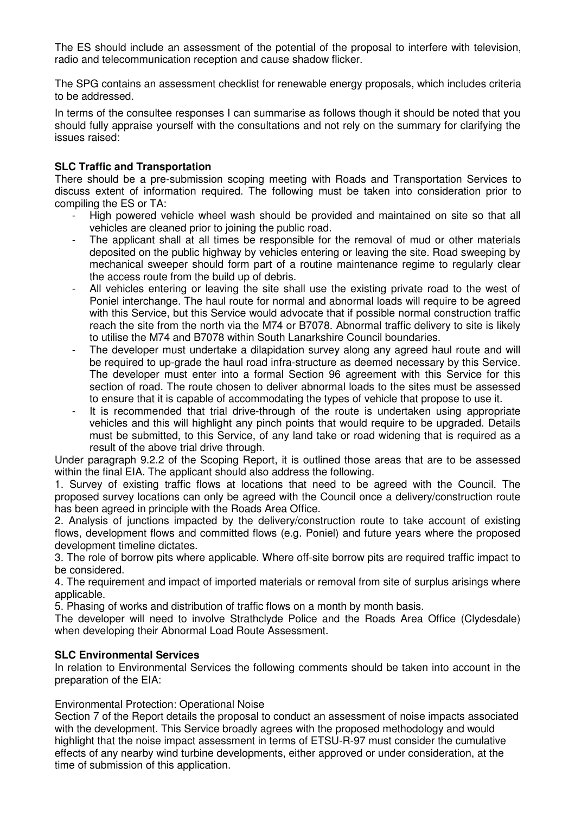The ES should include an assessment of the potential of the proposal to interfere with television, radio and telecommunication reception and cause shadow flicker.

The SPG contains an assessment checklist for renewable energy proposals, which includes criteria to be addressed.

In terms of the consultee responses I can summarise as follows though it should be noted that you should fully appraise yourself with the consultations and not rely on the summary for clarifying the issues raised:

# **SLC Traffic and Transportation**

There should be a pre-submission scoping meeting with Roads and Transportation Services to discuss extent of information required. The following must be taken into consideration prior to compiling the ES or TA:

- High powered vehicle wheel wash should be provided and maintained on site so that all vehicles are cleaned prior to joining the public road.
- The applicant shall at all times be responsible for the removal of mud or other materials deposited on the public highway by vehicles entering or leaving the site. Road sweeping by mechanical sweeper should form part of a routine maintenance regime to regularly clear the access route from the build up of debris.
- All vehicles entering or leaving the site shall use the existing private road to the west of Poniel interchange. The haul route for normal and abnormal loads will require to be agreed with this Service, but this Service would advocate that if possible normal construction traffic reach the site from the north via the M74 or B7078. Abnormal traffic delivery to site is likely to utilise the M74 and B7078 within South Lanarkshire Council boundaries.
- The developer must undertake a dilapidation survey along any agreed haul route and will be required to up-grade the haul road infra-structure as deemed necessary by this Service. The developer must enter into a formal Section 96 agreement with this Service for this section of road. The route chosen to deliver abnormal loads to the sites must be assessed to ensure that it is capable of accommodating the types of vehicle that propose to use it.
- It is recommended that trial drive-through of the route is undertaken using appropriate vehicles and this will highlight any pinch points that would require to be upgraded. Details must be submitted, to this Service, of any land take or road widening that is required as a result of the above trial drive through.

Under paragraph 9.2.2 of the Scoping Report, it is outlined those areas that are to be assessed within the final EIA. The applicant should also address the following.

1. Survey of existing traffic flows at locations that need to be agreed with the Council. The proposed survey locations can only be agreed with the Council once a delivery/construction route has been agreed in principle with the Roads Area Office.

2. Analysis of junctions impacted by the delivery/construction route to take account of existing flows, development flows and committed flows (e.g. Poniel) and future years where the proposed development timeline dictates.

3. The role of borrow pits where applicable. Where off-site borrow pits are required traffic impact to be considered.

4. The requirement and impact of imported materials or removal from site of surplus arisings where applicable.

5. Phasing of works and distribution of traffic flows on a month by month basis.

The developer will need to involve Strathclyde Police and the Roads Area Office (Clydesdale) when developing their Abnormal Load Route Assessment.

# **SLC Environmental Services**

In relation to Environmental Services the following comments should be taken into account in the preparation of the EIA:

# Environmental Protection: Operational Noise

Section 7 of the Report details the proposal to conduct an assessment of noise impacts associated with the development. This Service broadly agrees with the proposed methodology and would highlight that the noise impact assessment in terms of ETSU-R-97 must consider the cumulative effects of any nearby wind turbine developments, either approved or under consideration, at the time of submission of this application.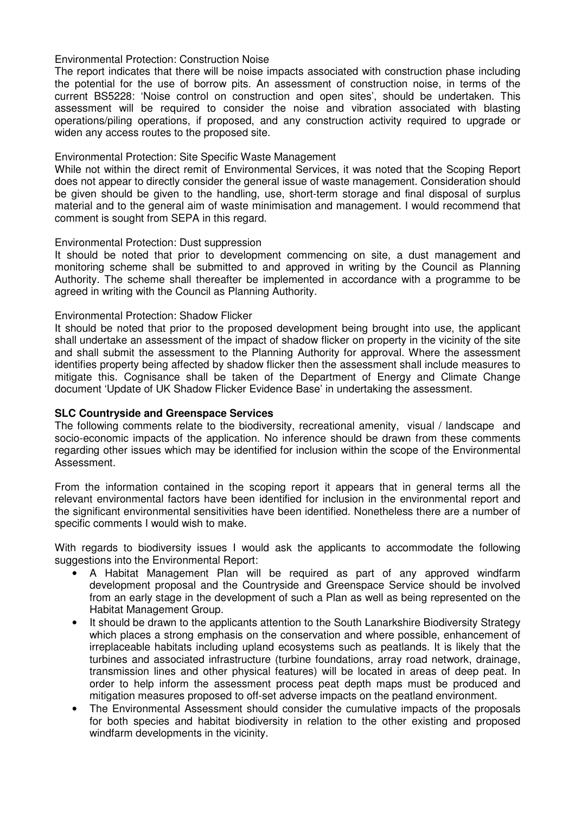## Environmental Protection: Construction Noise

The report indicates that there will be noise impacts associated with construction phase including the potential for the use of borrow pits. An assessment of construction noise, in terms of the current BS5228: 'Noise control on construction and open sites', should be undertaken. This assessment will be required to consider the noise and vibration associated with blasting operations/piling operations, if proposed, and any construction activity required to upgrade or widen any access routes to the proposed site.

## Environmental Protection: Site Specific Waste Management

While not within the direct remit of Environmental Services, it was noted that the Scoping Report does not appear to directly consider the general issue of waste management. Consideration should be given should be given to the handling, use, short-term storage and final disposal of surplus material and to the general aim of waste minimisation and management. I would recommend that comment is sought from SEPA in this regard.

#### Environmental Protection: Dust suppression

It should be noted that prior to development commencing on site, a dust management and monitoring scheme shall be submitted to and approved in writing by the Council as Planning Authority. The scheme shall thereafter be implemented in accordance with a programme to be agreed in writing with the Council as Planning Authority.

#### Environmental Protection: Shadow Flicker

It should be noted that prior to the proposed development being brought into use, the applicant shall undertake an assessment of the impact of shadow flicker on property in the vicinity of the site and shall submit the assessment to the Planning Authority for approval. Where the assessment identifies property being affected by shadow flicker then the assessment shall include measures to mitigate this. Cognisance shall be taken of the Department of Energy and Climate Change document 'Update of UK Shadow Flicker Evidence Base' in undertaking the assessment.

# **SLC Countryside and Greenspace Services**

The following comments relate to the biodiversity, recreational amenity, visual / landscape and socio-economic impacts of the application. No inference should be drawn from these comments regarding other issues which may be identified for inclusion within the scope of the Environmental Assessment.

From the information contained in the scoping report it appears that in general terms all the relevant environmental factors have been identified for inclusion in the environmental report and the significant environmental sensitivities have been identified. Nonetheless there are a number of specific comments I would wish to make.

With regards to biodiversity issues I would ask the applicants to accommodate the following suggestions into the Environmental Report:

- A Habitat Management Plan will be required as part of any approved windfarm development proposal and the Countryside and Greenspace Service should be involved from an early stage in the development of such a Plan as well as being represented on the Habitat Management Group.
- It should be drawn to the applicants attention to the South Lanarkshire Biodiversity Strategy which places a strong emphasis on the conservation and where possible, enhancement of irreplaceable habitats including upland ecosystems such as peatlands. It is likely that the turbines and associated infrastructure (turbine foundations, array road network, drainage, transmission lines and other physical features) will be located in areas of deep peat. In order to help inform the assessment process peat depth maps must be produced and mitigation measures proposed to off-set adverse impacts on the peatland environment.
- The Environmental Assessment should consider the cumulative impacts of the proposals for both species and habitat biodiversity in relation to the other existing and proposed windfarm developments in the vicinity.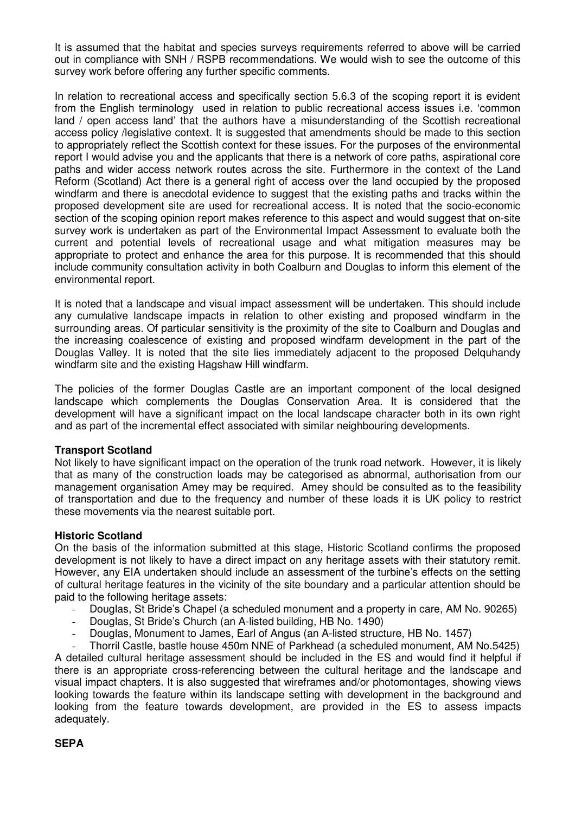It is assumed that the habitat and species surveys requirements referred to above will be carried out in compliance with SNH / RSPB recommendations. We would wish to see the outcome of this survey work before offering any further specific comments.

In relation to recreational access and specifically section 5.6.3 of the scoping report it is evident from the English terminology used in relation to public recreational access issues i.e. 'common land / open access land' that the authors have a misunderstanding of the Scottish recreational access policy / legislative context. It is suggested that amendments should be made to this section to appropriately reflect the Scottish context for these issues. For the purposes of the environmental report I would advise you and the applicants that there is a network of core paths, aspirational core paths and wider access network routes across the site. Furthermore in the context of the Land Reform (Scotland) Act there is a general right of access over the land occupied by the proposed windfarm and there is anecdotal evidence to suggest that the existing paths and tracks within the proposed development site are used for recreational access. It is noted that the socio-economic section of the scoping opinion report makes reference to this aspect and would suggest that on-site survey work is undertaken as part of the Environmental Impact Assessment to evaluate both the current and potential levels of recreational usage and what mitigation measures may be appropriate to protect and enhance the area for this purpose. It is recommended that this should include community consultation activity in both Coalburn and Douglas to inform this element of the environmental report.

It is noted that a landscape and visual impact assessment will be undertaken. This should include any cumulative landscape impacts in relation to other existing and proposed windfarm in the surrounding areas. Of particular sensitivity is the proximity of the site to Coalburn and Douglas and the increasing coalescence of existing and proposed windfarm development in the part of the Douglas Valley. It is noted that the site lies immediately adjacent to the proposed Delquhandy windfarm site and the existing Hagshaw Hill windfarm.

The policies of the former Douglas Castle are an important component of the local designed landscape which complements the Douglas Conservation Area. It is considered that the development will have a significant impact on the local landscape character both in its own right and as part of the incremental effect associated with similar neighbouring developments.

# **Transport Scotland**

Not likely to have significant impact on the operation of the trunk road network. However, it is likely that as many of the construction loads may be categorised as abnormal, authorisation from our management organisation Amey may be required. Amey should be consulted as to the feasibility of transportation and due to the frequency and number of these loads it is UK policy to restrict these movements via the nearest suitable port.

# **Historic Scotland**

On the basis of the information submitted at this stage, Historic Scotland confirms the proposed development is not likely to have a direct impact on any heritage assets with their statutory remit. However, any EIA undertaken should include an assessment of the turbine's effects on the setting of cultural heritage features in the vicinity of the site boundary and a particular attention should be paid to the following heritage assets:

- Douglas, St Bride's Chapel (a scheduled monument and a property in care, AM No. 90265)
- Douglas, St Bride's Church (an A-listed building, HB No. 1490)
- Douglas, Monument to James, Earl of Angus (an A-listed structure, HB No. 1457)

Thorril Castle, bastle house 450m NNE of Parkhead (a scheduled monument, AM No.5425) A detailed cultural heritage assessment should be included in the ES and would find it helpful if there is an appropriate cross-referencing between the cultural heritage and the landscape and visual impact chapters. It is also suggested that wireframes and/or photomontages, showing views looking towards the feature within its landscape setting with development in the background and looking from the feature towards development, are provided in the ES to assess impacts adequately.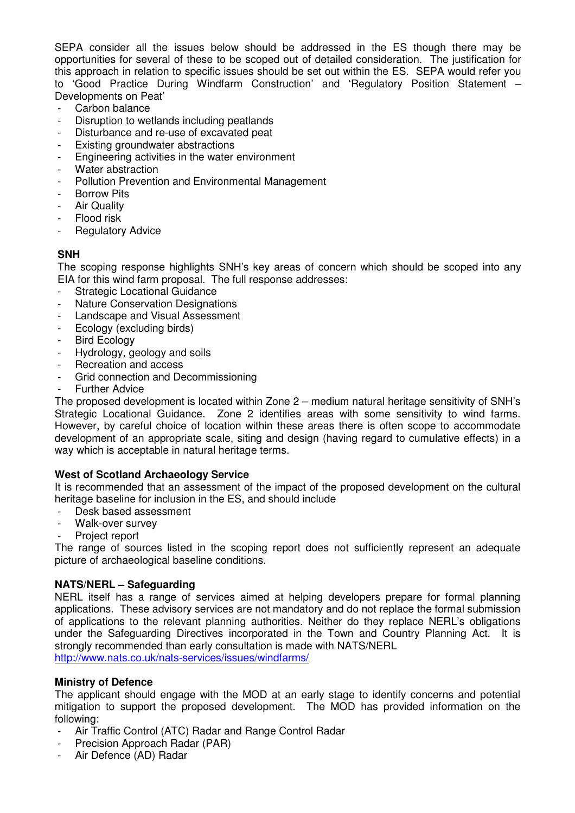SEPA consider all the issues below should be addressed in the ES though there may be opportunities for several of these to be scoped out of detailed consideration. The justification for this approach in relation to specific issues should be set out within the ES. SEPA would refer you to 'Good Practice During Windfarm Construction' and 'Regulatory Position Statement – Developments on Peat'

- Carbon balance
- Disruption to wetlands including peatlands
- Disturbance and re-use of excavated peat
- Existing groundwater abstractions
- Engineering activities in the water environment
- Water abstraction
- Pollution Prevention and Environmental Management
- Borrow Pits
- Air Quality
- Flood risk
- Regulatory Advice

#### **SNH**

The scoping response highlights SNH's key areas of concern which should be scoped into any EIA for this wind farm proposal. The full response addresses:

- Strategic Locational Guidance
- Nature Conservation Designations
- Landscape and Visual Assessment
- Ecology (excluding birds)
- Bird Ecology
- Hydrology, geology and soils
- Recreation and access
- Grid connection and Decommissioning
- **Further Advice**

The proposed development is located within Zone 2 – medium natural heritage sensitivity of SNH's Strategic Locational Guidance. Zone 2 identifies areas with some sensitivity to wind farms. However, by careful choice of location within these areas there is often scope to accommodate development of an appropriate scale, siting and design (having regard to cumulative effects) in a way which is acceptable in natural heritage terms.

# **West of Scotland Archaeology Service**

It is recommended that an assessment of the impact of the proposed development on the cultural heritage baseline for inclusion in the ES, and should include

- Desk based assessment
- Walk-over survey
- Project report

The range of sources listed in the scoping report does not sufficiently represent an adequate picture of archaeological baseline conditions.

# **NATS/NERL – Safeguarding**

NERL itself has a range of services aimed at helping developers prepare for formal planning applications. These advisory services are not mandatory and do not replace the formal submission of applications to the relevant planning authorities. Neither do they replace NERL's obligations under the Safeguarding Directives incorporated in the Town and Country Planning Act. It is strongly recommended than early consultation is made with NATS/NERL http://www.nats.co.uk/nats-services/issues/windfarms/

# **Ministry of Defence**

The applicant should engage with the MOD at an early stage to identify concerns and potential mitigation to support the proposed development. The MOD has provided information on the following:

- Air Traffic Control (ATC) Radar and Range Control Radar
- Precision Approach Radar (PAR)
- Air Defence (AD) Radar